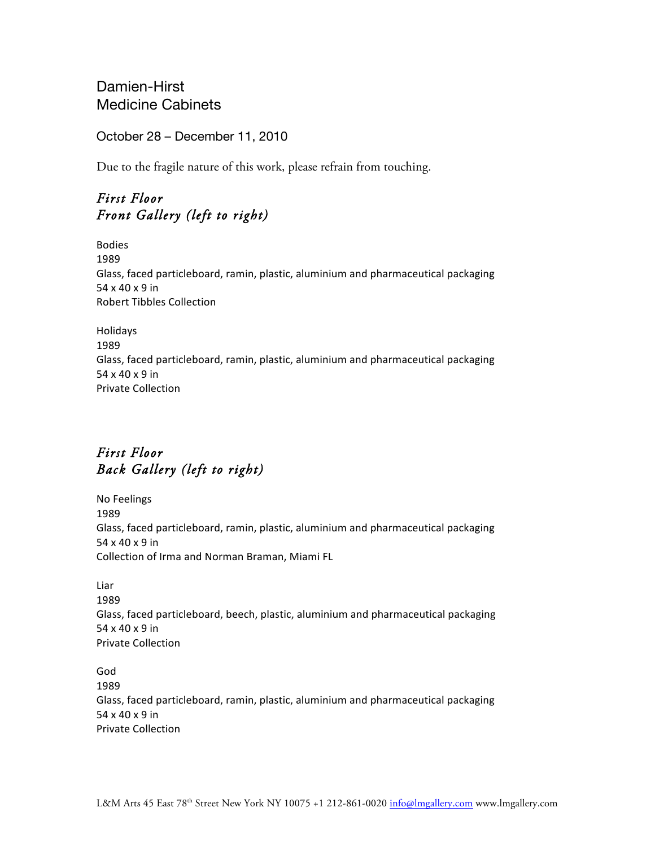Damien-Hirst Medicine Cabinets

October 28 – December 11, 2010

Due to the fragile nature of this work, please refrain from touching.

## *First Floor Front Gallery (left to right)*

Bodies 1989 Glass, faced particleboard, ramin, plastic, aluminium and pharmaceutical packaging 54 x 40 x 9 in Robert Tibbles Collection

Holidays 1989 Glass, faced particleboard, ramin, plastic, aluminium and pharmaceutical packaging 54 x 40 x 9 in **Private Collection** 

# *First Floor Back Gallery (left to right)*

No Feelings 1989 Glass, faced particleboard, ramin, plastic, aluminium and pharmaceutical packaging 54 x 40 x 9 in Collection of Irma and Norman Braman, Miami FL

Liar 1989 Glass, faced particleboard, beech, plastic, aluminium and pharmaceutical packaging 54 x 40 x 9 in Private Collection

God 1989 Glass, faced particleboard, ramin, plastic, aluminium and pharmaceutical packaging 54 x 40 x 9 in Private Collection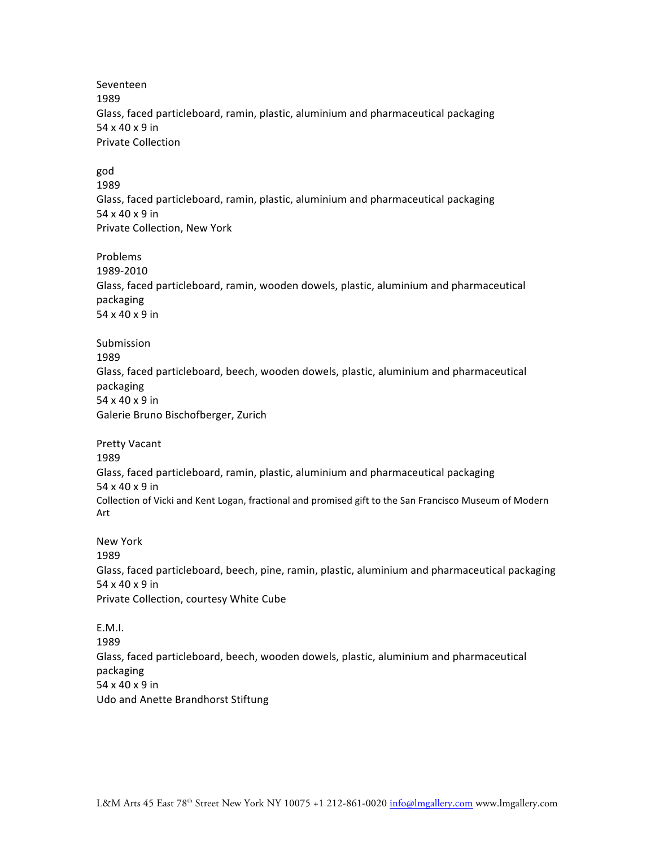Seventeen 1989 Glass, faced particleboard, ramin, plastic, aluminium and pharmaceutical packaging  $54 \times 40 \times 9$  in Private Collection

god 1989 Glass, faced particleboard, ramin, plastic, aluminium and pharmaceutical packaging 54 x 40 x 9 in Private Collection, New York

Problems 1989-2010 Glass, faced particleboard, ramin, wooden dowels, plastic, aluminium and pharmaceutical packaging 54 x 40 x 9 in

Submission 1989 Glass, faced particleboard, beech, wooden dowels, plastic, aluminium and pharmaceutical packaging 54 x 40 x 9 in Galerie Bruno Bischofberger, Zurich

Pretty Vacant 1989 Glass, faced particleboard, ramin, plastic, aluminium and pharmaceutical packaging 54 x 40 x 9 in Collection of Vicki and Kent Logan, fractional and promised gift to the San Francisco Museum of Modern Art

New York 1989 Glass, faced particleboard, beech, pine, ramin, plastic, aluminium and pharmaceutical packaging  $54 \times 40 \times 9$  in Private Collection, courtesy White Cube

E.M.I. 1989 Glass, faced particleboard, beech, wooden dowels, plastic, aluminium and pharmaceutical packaging 54 x 40 x 9 in Udo and Anette Brandhorst Stiftung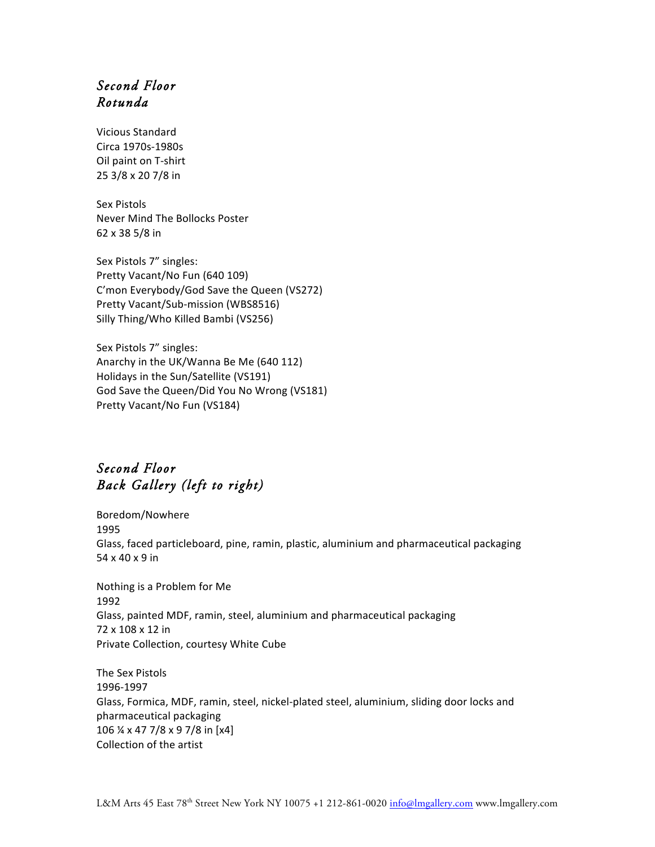### *Second Floor Rotunda*

Vicious Standard Circa 1970s-1980s Oil paint on T-shirt 25 3/8 x 20 7/8 in

Sex Pistols Never Mind The Bollocks Poster 62 x 38 5/8 in

Sex Pistols 7" singles: Pretty Vacant/No Fun (640 109) C'mon Everybody/God Save the Queen (VS272) Pretty Vacant/Sub-mission (WBS8516) Silly Thing/Who Killed Bambi (VS256)

Sex Pistols 7" singles: Anarchy in the UK/Wanna Be Me (640 112) Holidays in the Sun/Satellite (VS191) God Save the Queen/Did You No Wrong (VS181) Pretty Vacant/No Fun (VS184)

#### *Second Floor Back Gallery (left to right)*

Boredom/Nowhere 1995 Glass, faced particleboard, pine, ramin, plastic, aluminium and pharmaceutical packaging 54 x 40 x 9 in

Nothing is a Problem for Me 1992 Glass, painted MDF, ramin, steel, aluminium and pharmaceutical packaging 72 x 108 x 12 in Private Collection, courtesy White Cube

The Sex Pistols 1996-1997 Glass, Formica, MDF, ramin, steel, nickel-plated steel, aluminium, sliding door locks and pharmaceutical packaging 106  $\frac{1}{4}$  x 47 7/8 x 9 7/8 in [x4] Collection of the artist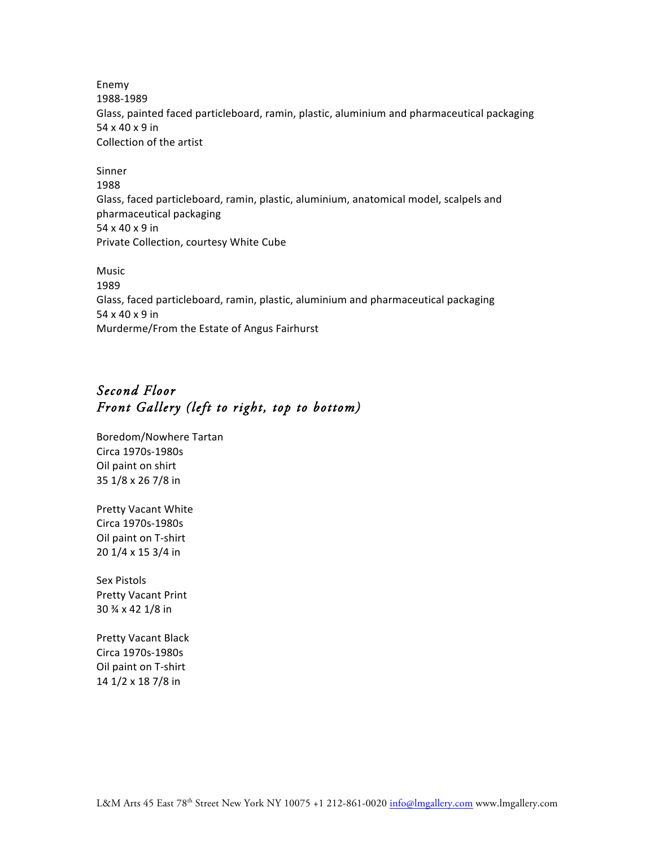Enemy 1988-1989 Glass, painted faced particleboard, ramin, plastic, aluminium and pharmaceutical packaging 54 x 40 x 9 in Collection of the artist

Sinner 1988 Glass, faced particleboard, ramin, plastic, aluminium, anatomical model, scalpels and pharmaceutical packaging 54 x 40 x 9 in Private Collection, courtesy White Cube

Music 1989 Glass, faced particleboard, ramin, plastic, aluminium and pharmaceutical packaging 54 x 40 x 9 in Murderme/From the Estate of Angus Fairhurst

## *Second Floor Front Gallery (left to right, top to bottom)*

Boredom/Nowhere Tartan Circa 1970s-1980s Oil paint on shirt 35 1/8 x 26 7/8 in

Pretty Vacant White Circa 1970s-1980s Oil paint on T-shirt 20 1/4 x 15 3/4 in

Sex Pistols Pretty Vacant Print 30 ¾ x 42 1/8 in

Pretty Vacant Black Circa 1970s-1980s Oil paint on T-shirt 14 1/2 x 18 7/8 in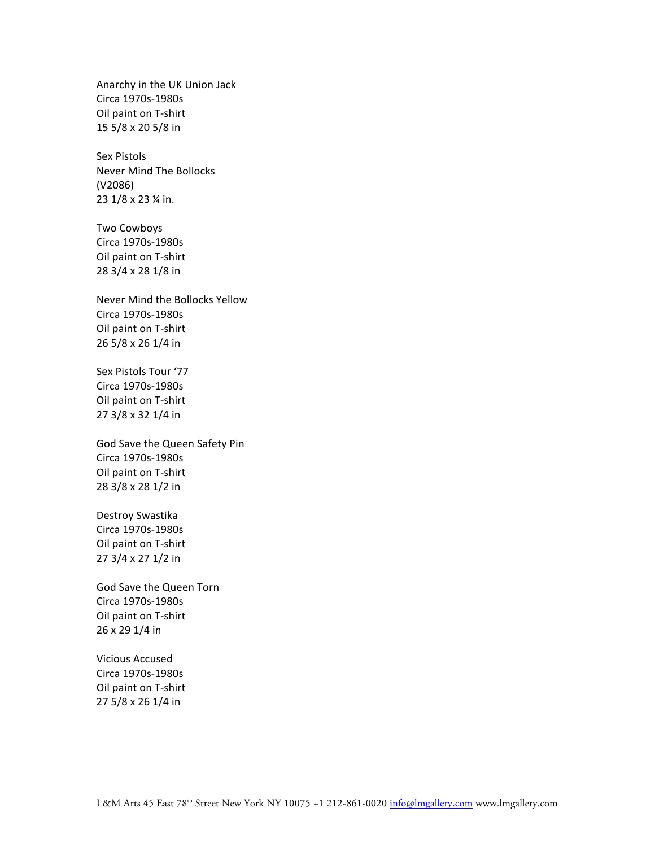Anarchy in the UK Union Jack Circa 1970s-1980s Oil paint on T-shirt 15 5/8 x 20 5/8 in

Sex Pistols Never Mind The Bollocks (V2086) 23 1/8 x 23 % in.

Two Cowboys Circa 1970s-1980s Oil paint on T-shirt 28 3/4 x 28 1/8 in

Never Mind the Bollocks Yellow Circa 1970s-1980s Oil paint on T-shirt 26 5/8 x 26 1/4 in

Sex Pistols Tour '77 Circa 1970s-1980s Oil paint on T-shirt 27 3/8 x 32 1/4 in

God Save the Queen Safety Pin Circa 1970s-1980s Oil paint on T-shirt 28 3/8 x 28 1/2 in

Destroy Swastika Circa 1970s-1980s Oil paint on T-shirt 27 3/4 x 27 1/2 in

God Save the Queen Torn Circa 1970s-1980s Oil paint on T-shirt 26 x 29 1/4 in

Vicious Accused Circa 1970s-1980s Oil paint on T-shirt 27 5/8 x 26 1/4 in